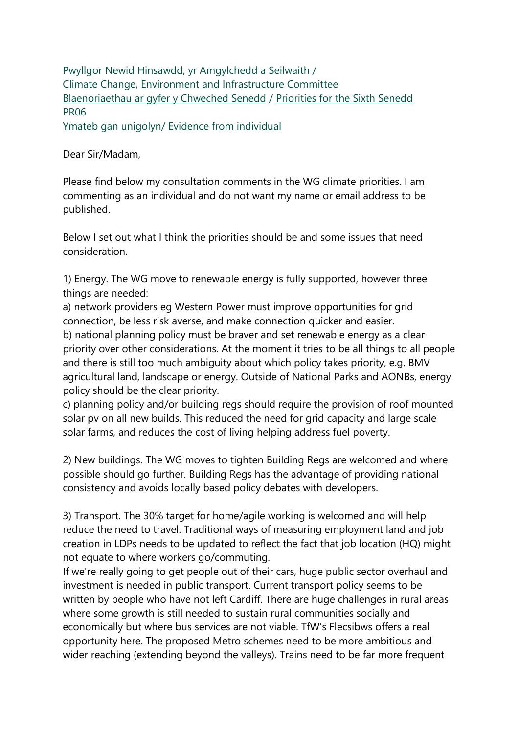Pwyllgor Newid Hinsawdd, yr Amgylchedd a Seilwaith / Climate Change, Environment and Infrastructure Committee [Blaenoriaethau ar gyfer y Chweched Senedd](https://busnes.senedd.cymru/mgConsultationDisplay.aspx?id=427&RPID=1026452002&cp=yes) / [Priorities for the Sixth Senedd](https://business.senedd.wales/mgConsultationDisplay.aspx?id=427&RPID=1026452002&cp=yes) PR06

Ymateb gan unigolyn/ Evidence from individual

Dear Sir/Madam,

Please find below my consultation comments in the WG climate priorities. I am commenting as an individual and do not want my name or email address to be published.

Below I set out what I think the priorities should be and some issues that need consideration.

1) Energy. The WG move to renewable energy is fully supported, however three things are needed:

a) network providers eg Western Power must improve opportunities for grid connection, be less risk averse, and make connection quicker and easier. b) national planning policy must be braver and set renewable energy as a clear priority over other considerations. At the moment it tries to be all things to all people and there is still too much ambiguity about which policy takes priority, e.g. BMV agricultural land, landscape or energy. Outside of National Parks and AONBs, energy policy should be the clear priority.

c) planning policy and/or building regs should require the provision of roof mounted solar pv on all new builds. This reduced the need for grid capacity and large scale solar farms, and reduces the cost of living helping address fuel poverty.

2) New buildings. The WG moves to tighten Building Regs are welcomed and where possible should go further. Building Regs has the advantage of providing national consistency and avoids locally based policy debates with developers.

3) Transport. The 30% target for home/agile working is welcomed and will help reduce the need to travel. Traditional ways of measuring employment land and job creation in LDPs needs to be updated to reflect the fact that job location (HQ) might not equate to where workers go/commuting.

If we're really going to get people out of their cars, huge public sector overhaul and investment is needed in public transport. Current transport policy seems to be written by people who have not left Cardiff. There are huge challenges in rural areas where some growth is still needed to sustain rural communities socially and economically but where bus services are not viable. TfW's Flecsibws offers a real opportunity here. The proposed Metro schemes need to be more ambitious and wider reaching (extending beyond the valleys). Trains need to be far more frequent